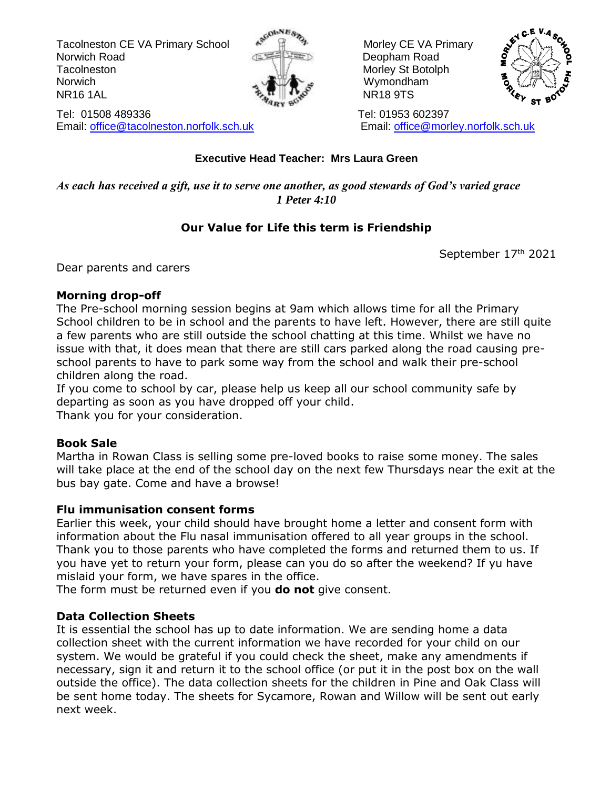Tacolneston CE VA Primary School  $\mathbb{R}^{\mathbb{N}}$   $\mathbb{R}^{\mathbb{N}}$  Morley CE VA Primary Norwich Road Deopham Road Tacolneston Morley St Botolph Morley St Botolph Norwich **Wymondham** NR16 1AL NR18 9TS



Tel: 01508 489336 Tel: 01953 602397 Email: [office@tacolneston.norfolk.sch.uk](mailto:office@tacolneston.norfolk.sch.uk) Email: [office@morley.norfolk.sch.uk](mailto:office@morley.norfolk.sch.uk) 



### **Executive Head Teacher: Mrs Laura Green**

*As each has received a gift, use it to serve one another, as good stewards of God's varied grace 1 Peter 4:10*

## **Our Value for Life this term is Friendship**

September 17th 2021

Dear parents and carers

### **Morning drop-off**

The Pre-school morning session begins at 9am which allows time for all the Primary School children to be in school and the parents to have left. However, there are still quite a few parents who are still outside the school chatting at this time. Whilst we have no issue with that, it does mean that there are still cars parked along the road causing preschool parents to have to park some way from the school and walk their pre-school children along the road.

If you come to school by car, please help us keep all our school community safe by departing as soon as you have dropped off your child.

Thank you for your consideration.

## **Book Sale**

Martha in Rowan Class is selling some pre-loved books to raise some money. The sales will take place at the end of the school day on the next few Thursdays near the exit at the bus bay gate. Come and have a browse!

### **Flu immunisation consent forms**

Earlier this week, your child should have brought home a letter and consent form with information about the Flu nasal immunisation offered to all year groups in the school. Thank you to those parents who have completed the forms and returned them to us. If you have yet to return your form, please can you do so after the weekend? If yu have mislaid your form, we have spares in the office.

The form must be returned even if you **do not** give consent.

## **Data Collection Sheets**

It is essential the school has up to date information. We are sending home a data collection sheet with the current information we have recorded for your child on our system. We would be grateful if you could check the sheet, make any amendments if necessary, sign it and return it to the school office (or put it in the post box on the wall outside the office). The data collection sheets for the children in Pine and Oak Class will be sent home today. The sheets for Sycamore, Rowan and Willow will be sent out early next week.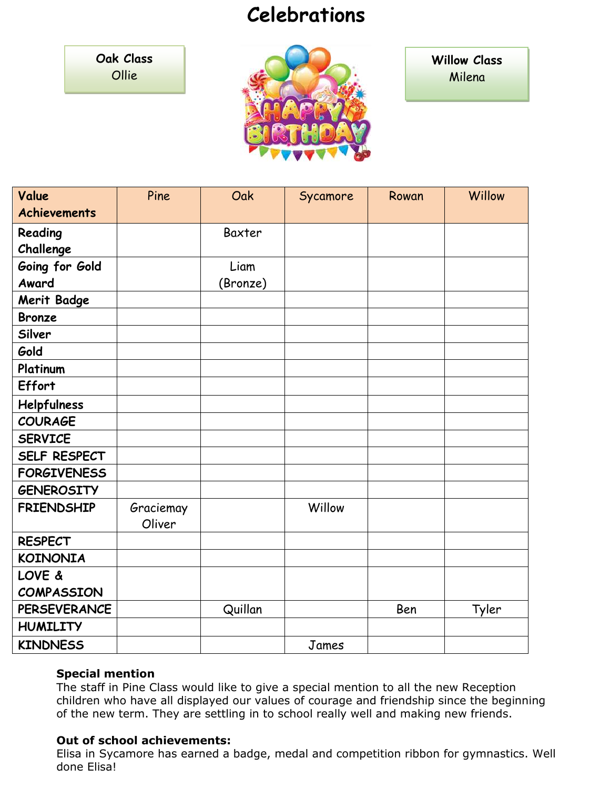# **Celebrations**

**Oak Class** Ollie



**Willow Class** Milena

| Value               | Pine      | Oak      | Sycamore | Rowan | Willow |
|---------------------|-----------|----------|----------|-------|--------|
| <b>Achievements</b> |           |          |          |       |        |
| Reading             |           | Baxter   |          |       |        |
| Challenge           |           |          |          |       |        |
| Going for Gold      |           | Liam     |          |       |        |
| Award               |           | (Bronze) |          |       |        |
| Merit Badge         |           |          |          |       |        |
| <b>Bronze</b>       |           |          |          |       |        |
| Silver              |           |          |          |       |        |
| Gold                |           |          |          |       |        |
| Platinum            |           |          |          |       |        |
| Effort              |           |          |          |       |        |
| Helpfulness         |           |          |          |       |        |
| <b>COURAGE</b>      |           |          |          |       |        |
| <b>SERVICE</b>      |           |          |          |       |        |
| SELF RESPECT        |           |          |          |       |        |
| <b>FORGIVENESS</b>  |           |          |          |       |        |
| <b>GENEROSITY</b>   |           |          |          |       |        |
| <b>FRIENDSHIP</b>   | Graciemay |          | Willow   |       |        |
|                     | Oliver    |          |          |       |        |
| <b>RESPECT</b>      |           |          |          |       |        |
| <b>KOINONIA</b>     |           |          |          |       |        |
| LOVE &              |           |          |          |       |        |
| <b>COMPASSION</b>   |           |          |          |       |        |
| <b>PERSEVERANCE</b> |           | Quillan  |          | Ben   | Tyler  |
| <b>HUMILITY</b>     |           |          |          |       |        |
| <b>KINDNESS</b>     |           |          | James    |       |        |

#### **Special mention**

The staff in Pine Class would like to give a special mention to all the new Reception children who have all displayed our values of courage and friendship since the beginning of the new term. They are settling in to school really well and making new friends.

### **Out of school achievements:**

Elisa in Sycamore has earned a badge, medal and competition ribbon for gymnastics. Well done Elisa!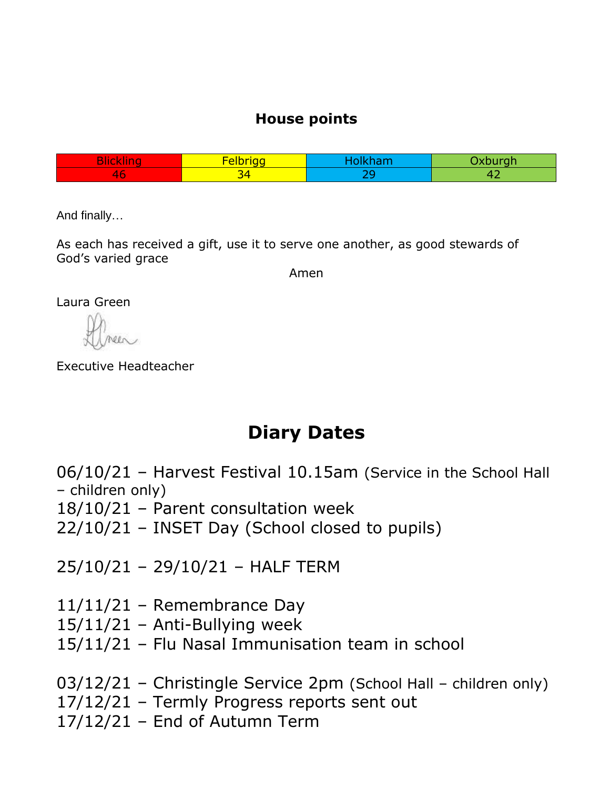# **House points**

|                  | $\sim$ |  |
|------------------|--------|--|
| $\sim$<br>$\sim$ |        |  |

And finally…

As each has received a gift, use it to serve one another, as good stewards of God's varied grace

Amen

Laura Green

Executive Headteacher

# **Diary Dates**

06/10/21 – Harvest Festival 10.15am (Service in the School Hall – children only)

- 18/10/21 Parent consultation week
- 22/10/21 INSET Day (School closed to pupils)

25/10/21 – 29/10/21 – HALF TERM

- 11/11/21 Remembrance Day
- $15/11/21$  Anti-Bullying week
- 15/11/21 Flu Nasal Immunisation team in school
- 03/12/21 Christingle Service 2pm (School Hall children only)
- 17/12/21 Termly Progress reports sent out
- 17/12/21 End of Autumn Term